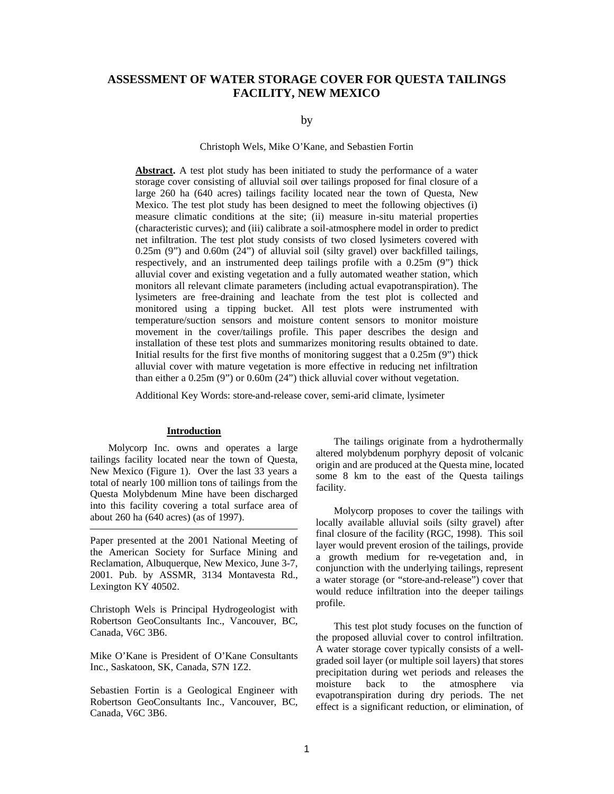# **ASSESSMENT OF WATER STORAGE COVER FOR QUESTA TAILINGS FACILITY, NEW MEXICO**

### by

Christoph Wels, Mike O'Kane, and Sebastien Fortin

**Abstract.** A test plot study has been initiated to study the performance of a water storage cover consisting of alluvial soil over tailings proposed for final closure of a large 260 ha (640 acres) tailings facility located near the town of Questa, New Mexico. The test plot study has been designed to meet the following objectives (i) measure climatic conditions at the site; (ii) measure in-situ material properties (characteristic curves); and (iii) calibrate a soil-atmosphere model in order to predict net infiltration. The test plot study consists of two closed lysimeters covered with 0.25m (9") and 0.60m (24") of alluvial soil (silty gravel) over backfilled tailings, respectively, and an instrumented deep tailings profile with a 0.25m (9") thick alluvial cover and existing vegetation and a fully automated weather station, which monitors all relevant climate parameters (including actual evapotranspiration). The lysimeters are free-draining and leachate from the test plot is collected and monitored using a tipping bucket. All test plots were instrumented with temperature/suction sensors and moisture content sensors to monitor moisture movement in the cover/tailings profile. This paper describes the design and installation of these test plots and summarizes monitoring results obtained to date. Initial results for the first five months of monitoring suggest that a 0.25m (9") thick alluvial cover with mature vegetation is more effective in reducing net infiltration than either a 0.25m (9") or 0.60m (24") thick alluvial cover without vegetation.

Additional Key Words: store-and-release cover, semi-arid climate, lysimeter

#### **Introduction**

Molycorp Inc. owns and operates a large tailings facility located near the town of Questa, New Mexico (Figure 1). Over the last 33 years a total of nearly 100 million tons of tailings from the Questa Molybdenum Mine have been discharged into this facility covering a total surface area of about 260 ha (640 acres) (as of 1997).

Paper presented at the 2001 National Meeting of the American Society for Surface Mining and Reclamation, Albuquerque, New Mexico, June 3-7, 2001. Pub. by ASSMR, 3134 Montavesta Rd., Lexington KY 40502.

Christoph Wels is Principal Hydrogeologist with Robertson GeoConsultants Inc., Vancouver, BC, Canada, V6C 3B6.

Mike O'Kane is President of O'Kane Consultants Inc., Saskatoon, SK, Canada, S7N 1Z2.

Sebastien Fortin is a Geological Engineer with Robertson GeoConsultants Inc., Vancouver, BC, Canada, V6C 3B6.

The tailings originate from a hydrothermally altered molybdenum porphyry deposit of volcanic origin and are produced at the Questa mine, located some 8 km to the east of the Questa tailings facility.

Molycorp proposes to cover the tailings with locally available alluvial soils (silty gravel) after final closure of the facility (RGC, 1998). This soil layer would prevent erosion of the tailings, provide a growth medium for re-vegetation and, in conjunction with the underlying tailings, represent a water storage (or "store-and-release") cover that would reduce infiltration into the deeper tailings profile.

This test plot study focuses on the function of the proposed alluvial cover to control infiltration. A water storage cover typically consists of a wellgraded soil layer (or multiple soil layers) that stores precipitation during wet periods and releases the moisture back to the atmosphere via evapotranspiration during dry periods. The net effect is a significant reduction, or elimination, of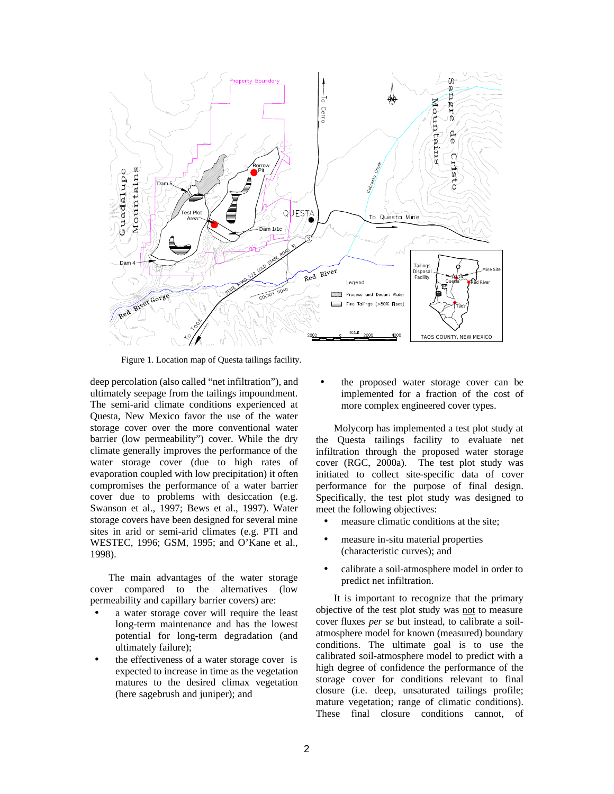

Figure 1. Location map of Questa tailings facility.

deep percolation (also called "net infiltration"), and ultimately seepage from the tailings impoundment. The semi-arid climate conditions experienced at Questa, New Mexico favor the use of the water storage cover over the more conventional water barrier (low permeability") cover. While the dry climate generally improves the performance of the water storage cover (due to high rates of evaporation coupled with low precipitation) it often compromises the performance of a water barrier cover due to problems with desiccation (e.g. Swanson et al., 1997; Bews et al., 1997). Water storage covers have been designed for several mine sites in arid or semi-arid climates (e.g. PTI and WESTEC, 1996; GSM, 1995; and O'Kane et al., 1998).

 The main advantages of the water storage cover compared to the alternatives (low permeability and capillary barrier covers) are:

- a water storage cover will require the least long-term maintenance and has the lowest potential for long-term degradation (and ultimately failure);
- the effectiveness of a water storage cover is expected to increase in time as the vegetation matures to the desired climax vegetation (here sagebrush and juniper); and

• the proposed water storage cover can be implemented for a fraction of the cost of more complex engineered cover types.

Molycorp has implemented a test plot study at the Questa tailings facility to evaluate net infiltration through the proposed water storage cover (RGC, 2000a). The test plot study was initiated to collect site-specific data of cover performance for the purpose of final design. Specifically, the test plot study was designed to meet the following objectives:

- measure climatic conditions at the site:
- measure in-situ material properties (characteristic curves); and
- calibrate a soil-atmosphere model in order to predict net infiltration.

It is important to recognize that the primary objective of the test plot study was not to measure cover fluxes *per se* but instead, to calibrate a soilatmosphere model for known (measured) boundary conditions. The ultimate goal is to use the calibrated soil-atmosphere model to predict with a high degree of confidence the performance of the storage cover for conditions relevant to final closure (i.e. deep, unsaturated tailings profile; mature vegetation; range of climatic conditions). These final closure conditions cannot, of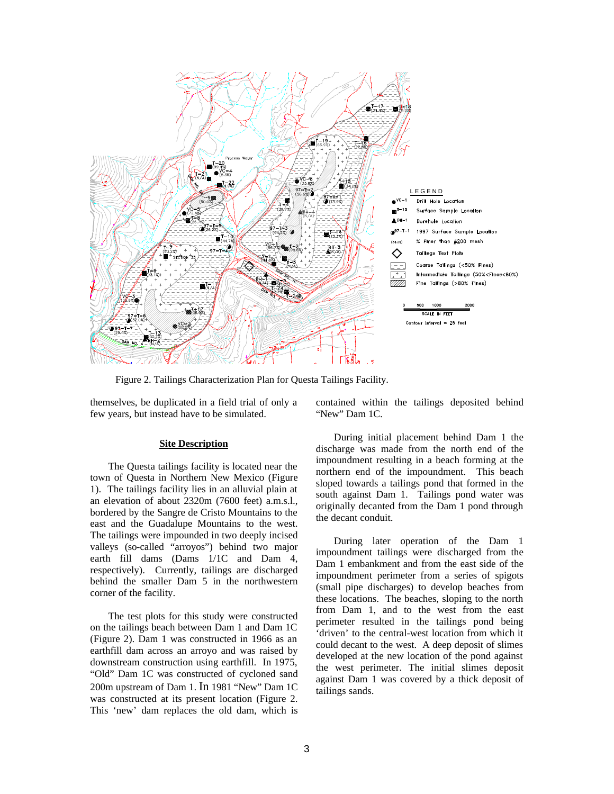

Figure 2. Tailings Characterization Plan for Questa Tailings Facility.

themselves, be duplicated in a field trial of only a few years, but instead have to be simulated.

### **Site Description**

The Questa tailings facility is located near the town of Questa in Northern New Mexico (Figure 1). The tailings facility lies in an alluvial plain at an elevation of about 2320m (7600 feet) a.m.s.l., bordered by the Sangre de Cristo Mountains to the east and the Guadalupe Mountains to the west. The tailings were impounded in two deeply incised valleys (so-called "arroyos") behind two major earth fill dams (Dams 1/1C and Dam 4, respectively). Currently, tailings are discharged behind the smaller Dam 5 in the northwestern corner of the facility.

The test plots for this study were constructed on the tailings beach between Dam 1 and Dam 1C (Figure 2). Dam 1 was constructed in 1966 as an earthfill dam across an arroyo and was raised by downstream construction using earthfill. In 1975, "Old" Dam 1C was constructed of cycloned sand 200m upstream of Dam 1. In 1981 "New" Dam 1C was constructed at its present location (Figure 2. This 'new' dam replaces the old dam, which is contained within the tailings deposited behind "New" Dam 1C.

During initial placement behind Dam 1 the discharge was made from the north end of the impoundment resulting in a beach forming at the northern end of the impoundment. This beach sloped towards a tailings pond that formed in the south against Dam 1. Tailings pond water was originally decanted from the Dam 1 pond through the decant conduit.

During later operation of the Dam 1 impoundment tailings were discharged from the Dam 1 embankment and from the east side of the impoundment perimeter from a series of spigots (small pipe discharges) to develop beaches from these locations. The beaches, sloping to the north from Dam 1, and to the west from the east perimeter resulted in the tailings pond being 'driven' to the central-west location from which it could decant to the west. A deep deposit of slimes developed at the new location of the pond against the west perimeter. The initial slimes deposit against Dam 1 was covered by a thick deposit of tailings sands.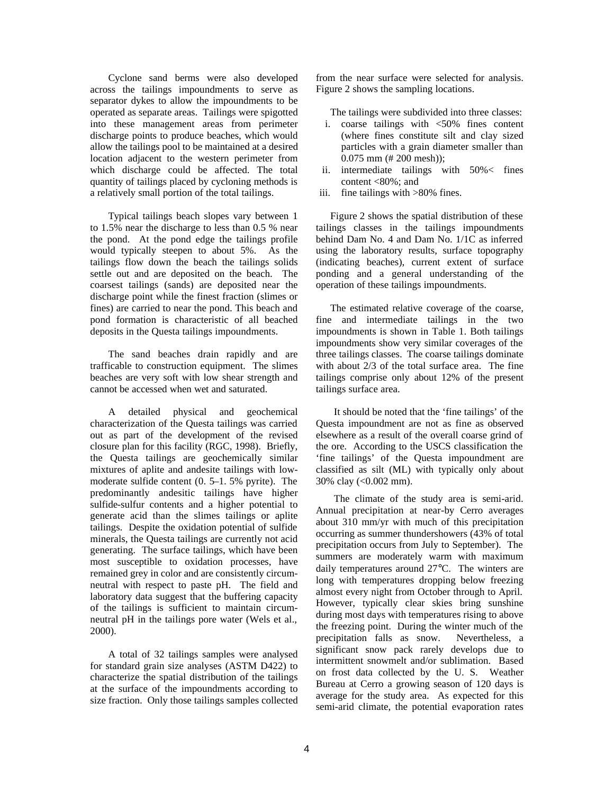Cyclone sand berms were also developed across the tailings impoundments to serve as separator dykes to allow the impoundments to be operated as separate areas. Tailings were spigotted into these management areas from perimeter discharge points to produce beaches, which would allow the tailings pool to be maintained at a desired location adjacent to the western perimeter from which discharge could be affected. The total quantity of tailings placed by cycloning methods is a relatively small portion of the total tailings.

Typical tailings beach slopes vary between 1 to 1.5% near the discharge to less than 0.5 % near the pond. At the pond edge the tailings profile would typically steepen to about 5%. As the tailings flow down the beach the tailings solids settle out and are deposited on the beach. The coarsest tailings (sands) are deposited near the discharge point while the finest fraction (slimes or fines) are carried to near the pond. This beach and pond formation is characteristic of all beached deposits in the Questa tailings impoundments.

The sand beaches drain rapidly and are trafficable to construction equipment. The slimes beaches are very soft with low shear strength and cannot be accessed when wet and saturated.

A detailed physical and geochemical characterization of the Questa tailings was carried out as part of the development of the revised closure plan for this facility (RGC, 1998). Briefly, the Questa tailings are geochemically similar mixtures of aplite and andesite tailings with lowmoderate sulfide content (0. 5–1. 5% pyrite). The predominantly andesitic tailings have higher sulfide-sulfur contents and a higher potential to generate acid than the slimes tailings or aplite tailings. Despite the oxidation potential of sulfide minerals, the Questa tailings are currently not acid generating. The surface tailings, which have been most susceptible to oxidation processes, have remained grey in color and are consistently circumneutral with respect to paste pH. The field and laboratory data suggest that the buffering capacity of the tailings is sufficient to maintain circumneutral pH in the tailings pore water (Wels et al., 2000).

A total of 32 tailings samples were analysed for standard grain size analyses (ASTM D422) to characterize the spatial distribution of the tailings at the surface of the impoundments according to size fraction. Only those tailings samples collected

from the near surface were selected for analysis. Figure 2 shows the sampling locations.

The tailings were subdivided into three classes:

- i. coarse tailings with <50% fines content (where fines constitute silt and clay sized particles with a grain diameter smaller than 0.075 mm (# 200 mesh));
- ii. intermediate tailings with 50%< fines content <80%; and
- iii. fine tailings with >80% fines.

Figure 2 shows the spatial distribution of these tailings classes in the tailings impoundments behind Dam No. 4 and Dam No. 1/1C as inferred using the laboratory results, surface topography (indicating beaches), current extent of surface ponding and a general understanding of the operation of these tailings impoundments.

The estimated relative coverage of the coarse, fine and intermediate tailings in the two impoundments is shown in Table 1. Both tailings impoundments show very similar coverages of the three tailings classes. The coarse tailings dominate with about 2/3 of the total surface area. The fine tailings comprise only about 12% of the present tailings surface area.

It should be noted that the 'fine tailings' of the Questa impoundment are not as fine as observed elsewhere as a result of the overall coarse grind of the ore. According to the USCS classification the 'fine tailings' of the Questa impoundment are classified as silt (ML) with typically only about 30% clay (<0.002 mm).

The climate of the study area is semi-arid. Annual precipitation at near-by Cerro averages about 310 mm/yr with much of this precipitation occurring as summer thundershowers (43% of total precipitation occurs from July to September). The summers are moderately warm with maximum daily temperatures around 27°C. The winters are long with temperatures dropping below freezing almost every night from October through to April. However, typically clear skies bring sunshine during most days with temperatures rising to above the freezing point. During the winter much of the precipitation falls as snow. Nevertheless, a significant snow pack rarely develops due to intermittent snowmelt and/or sublimation. Based on frost data collected by the U. S. Weather Bureau at Cerro a growing season of 120 days is average for the study area. As expected for this semi-arid climate, the potential evaporation rates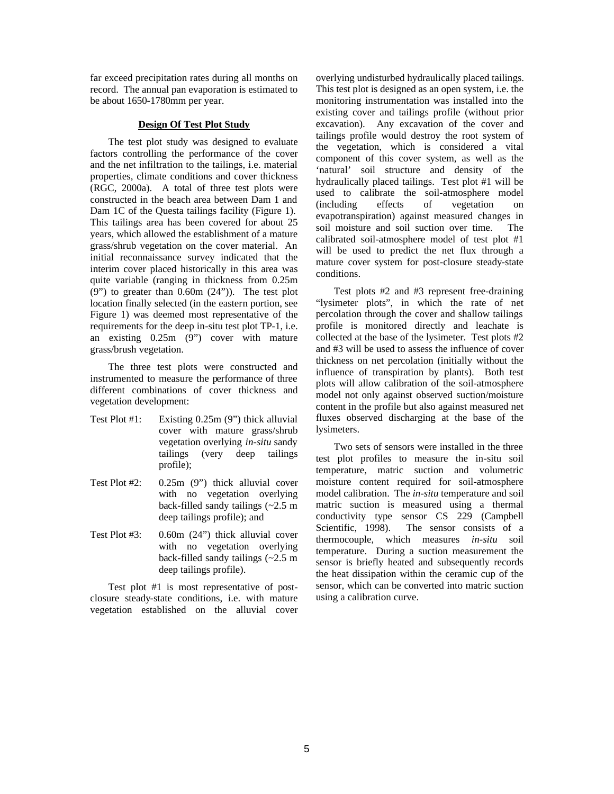far exceed precipitation rates during all months on record. The annual pan evaporation is estimated to be about 1650-1780mm per year.

# **Design Of Test Plot Study**

The test plot study was designed to evaluate factors controlling the performance of the cover and the net infiltration to the tailings, i.e. material properties, climate conditions and cover thickness (RGC, 2000a). A total of three test plots were constructed in the beach area between Dam 1 and Dam 1C of the Questa tailings facility (Figure 1). This tailings area has been covered for about 25 years, which allowed the establishment of a mature grass/shrub vegetation on the cover material. An initial reconnaissance survey indicated that the interim cover placed historically in this area was quite variable (ranging in thickness from 0.25m (9") to greater than 0.60m (24")). The test plot location finally selected (in the eastern portion, see Figure 1) was deemed most representative of the requirements for the deep in-situ test plot TP-1, i.e. an existing 0.25m (9") cover with mature grass/brush vegetation.

The three test plots were constructed and instrumented to measure the performance of three different combinations of cover thickness and vegetation development:

- Test Plot #1: Existing 0.25m (9") thick alluvial cover with mature grass/shrub vegetation overlying *in-situ* sandy tailings (very deep tailings profile);
- Test Plot #2: 0.25m (9") thick alluvial cover with no vegetation overlying back-filled sandy tailings (~2.5 m deep tailings profile); and
- Test Plot #3: 0.60m (24") thick alluvial cover with no vegetation overlying back-filled sandy tailings (~2.5 m deep tailings profile).

Test plot #1 is most representative of postclosure steady-state conditions, i.e. with mature vegetation established on the alluvial cover overlying undisturbed hydraulically placed tailings. This test plot is designed as an open system, i.e. the monitoring instrumentation was installed into the existing cover and tailings profile (without prior excavation). Any excavation of the cover and tailings profile would destroy the root system of the vegetation, which is considered a vital component of this cover system, as well as the 'natural' soil structure and density of the hydraulically placed tailings. Test plot #1 will be used to calibrate the soil-atmosphere model (including effects of vegetation on evapotranspiration) against measured changes in soil moisture and soil suction over time. The calibrated soil-atmosphere model of test plot #1 will be used to predict the net flux through a mature cover system for post-closure steady-state conditions.

Test plots #2 and #3 represent free-draining "lysimeter plots", in which the rate of net percolation through the cover and shallow tailings profile is monitored directly and leachate is collected at the base of the lysimeter. Test plots #2 and #3 will be used to assess the influence of cover thickness on net percolation (initially without the influence of transpiration by plants). Both test plots will allow calibration of the soil-atmosphere model not only against observed suction/moisture content in the profile but also against measured net fluxes observed discharging at the base of the lysimeters.

Two sets of sensors were installed in the three test plot profiles to measure the in-situ soil temperature, matric suction and volumetric moisture content required for soil-atmosphere model calibration. The *in-situ* temperature and soil matric suction is measured using a thermal conductivity type sensor CS 229 (Campbell Scientific, 1998). The sensor consists of a thermocouple, which measures *in-situ* soil temperature. During a suction measurement the sensor is briefly heated and subsequently records the heat dissipation within the ceramic cup of the sensor, which can be converted into matric suction using a calibration curve.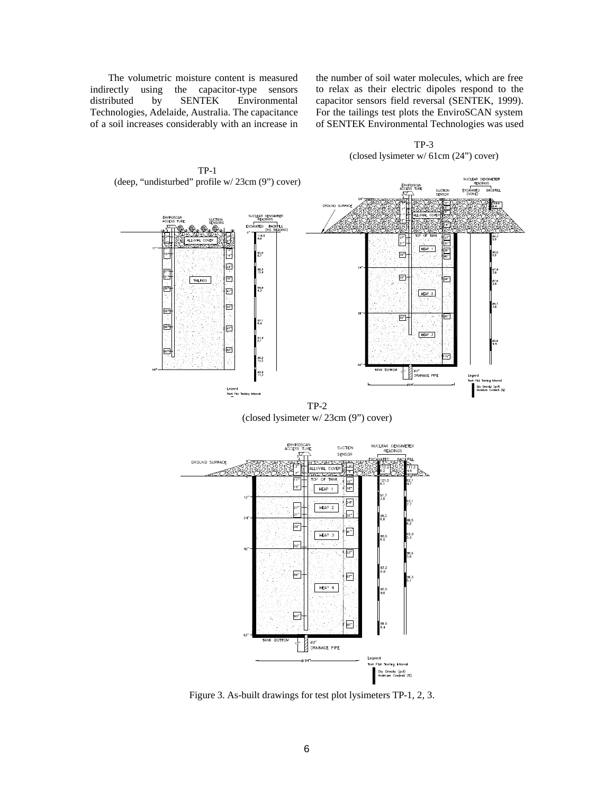The volumetric moisture content is measured indirectly using the capacitor-type sensors distributed by SENTEK Environmental Technologies, Adelaide, Australia. The capacitance of a soil increases considerably with an increase in

the number of soil water molecules, which are free to relax as their electric dipoles respond to the capacitor sensors field reversal (SENTEK, 1999). For the tailings test plots the EnviroSCAN system of SENTEK Environmental Technologies was used

> TP-3 (closed lysimeter w/ 61cm (24") cover)



TP-1

TP-2 (closed lysimeter w/ 23cm (9") cover)



Figure 3. As-built drawings for test plot lysimeters TP-1, 2, 3.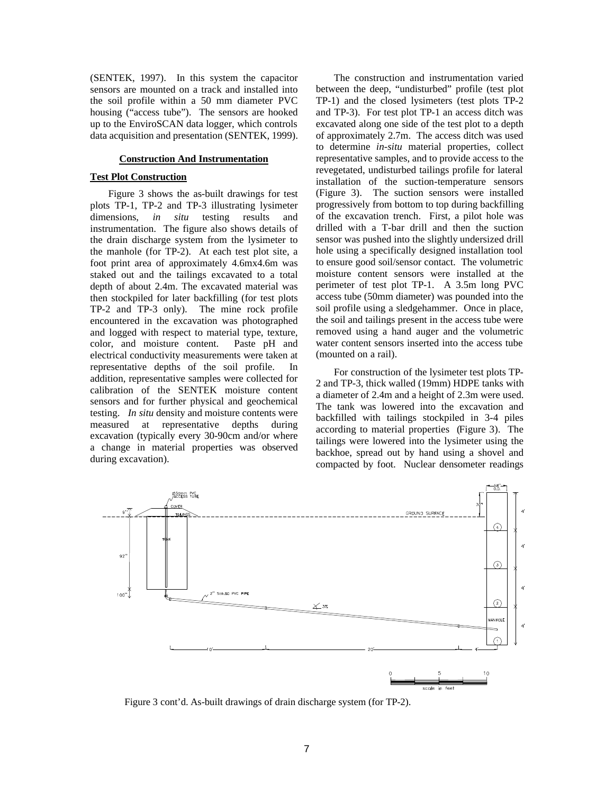(SENTEK, 1997). In this system the capacitor sensors are mounted on a track and installed into the soil profile within a 50 mm diameter PVC housing ("access tube"). The sensors are hooked up to the EnviroSCAN data logger, which controls data acquisition and presentation (SENTEK, 1999).

# **Construction And Instrumentation**

### **Test Plot Construction**

Figure 3 shows the as-built drawings for test plots TP-1, TP-2 and TP-3 illustrating lysimeter dimensions, *in situ* testing results and instrumentation. The figure also shows details of the drain discharge system from the lysimeter to the manhole (for TP-2). At each test plot site, a foot print area of approximately 4.6mx4.6m was staked out and the tailings excavated to a total depth of about 2.4m. The excavated material was then stockpiled for later backfilling (for test plots TP-2 and TP-3 only). The mine rock profile encountered in the excavation was photographed and logged with respect to material type, texture, color, and moisture content. Paste pH and electrical conductivity measurements were taken at representative depths of the soil profile. In addition, representative samples were collected for calibration of the SENTEK moisture content sensors and for further physical and geochemical testing. *In situ* density and moisture contents were measured at representative depths during excavation (typically every 30-90cm and/or where a change in material properties was observed during excavation).

The construction and instrumentation varied between the deep, "undisturbed" profile (test plot TP-1) and the closed lysimeters (test plots TP-2 and TP-3). For test plot TP-1 an access ditch was excavated along one side of the test plot to a depth of approximately 2.7m. The access ditch was used to determine *in-situ* material properties, collect representative samples, and to provide access to the revegetated, undisturbed tailings profile for lateral installation of the suction-temperature sensors (Figure 3). The suction sensors were installed progressively from bottom to top during backfilling of the excavation trench. First, a pilot hole was drilled with a T-bar drill and then the suction sensor was pushed into the slightly undersized drill hole using a specifically designed installation tool to ensure good soil/sensor contact. The volumetric moisture content sensors were installed at the perimeter of test plot TP-1. A 3.5m long PVC access tube (50mm diameter) was pounded into the soil profile using a sledgehammer. Once in place, the soil and tailings present in the access tube were removed using a hand auger and the volumetric water content sensors inserted into the access tube (mounted on a rail).

For construction of the lysimeter test plots TP-2 and TP-3, thick walled (19mm) HDPE tanks with a diameter of 2.4m and a height of 2.3m were used. The tank was lowered into the excavation and backfilled with tailings stockpiled in 3-4 piles according to material properties (Figure 3). The tailings were lowered into the lysimeter using the backhoe, spread out by hand using a shovel and compacted by foot. Nuclear densometer readings



Figure 3 cont'd. As-built drawings of drain discharge system (for TP-2).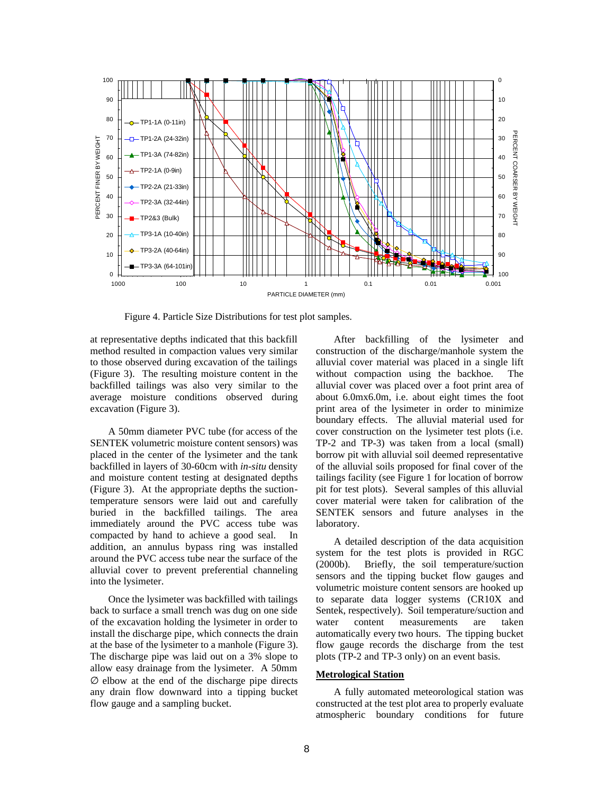

Figure 4. Particle Size Distributions for test plot samples.

at representative depths indicated that this backfill method resulted in compaction values very similar to those observed during excavation of the tailings (Figure 3). The resulting moisture content in the backfilled tailings was also very similar to the average moisture conditions observed during excavation (Figure 3).

A 50mm diameter PVC tube (for access of the SENTEK volumetric moisture content sensors) was placed in the center of the lysimeter and the tank backfilled in layers of 30-60cm with *in-situ* density and moisture content testing at designated depths (Figure 3). At the appropriate depths the suctiontemperature sensors were laid out and carefully buried in the backfilled tailings. The area immediately around the PVC access tube was compacted by hand to achieve a good seal. In addition, an annulus bypass ring was installed around the PVC access tube near the surface of the alluvial cover to prevent preferential channeling into the lysimeter.

Once the lysimeter was backfilled with tailings back to surface a small trench was dug on one side of the excavation holding the lysimeter in order to install the discharge pipe, which connects the drain at the base of the lysimeter to a manhole (Figure 3). The discharge pipe was laid out on a 3% slope to allow easy drainage from the lysimeter. A 50mm ∅ elbow at the end of the discharge pipe directs any drain flow downward into a tipping bucket flow gauge and a sampling bucket.

After backfilling of the lysimeter and construction of the discharge/manhole system the alluvial cover material was placed in a single lift without compaction using the backhoe. The alluvial cover was placed over a foot print area of about 6.0mx6.0m, i.e. about eight times the foot print area of the lysimeter in order to minimize boundary effects. The alluvial material used for cover construction on the lysimeter test plots (i.e. TP-2 and TP-3) was taken from a local (small) borrow pit with alluvial soil deemed representative of the alluvial soils proposed for final cover of the tailings facility (see Figure 1 for location of borrow pit for test plots). Several samples of this alluvial cover material were taken for calibration of the SENTEK sensors and future analyses in the laboratory.

A detailed description of the data acquisition system for the test plots is provided in RGC (2000b). Briefly, the soil temperature/suction sensors and the tipping bucket flow gauges and volumetric moisture content sensors are hooked up to separate data logger systems (CR10X and Sentek, respectively). Soil temperature/suction and water content measurements are taken automatically every two hours. The tipping bucket flow gauge records the discharge from the test plots (TP-2 and TP-3 only) on an event basis.

### **Metrological Station**

A fully automated meteorological station was constructed at the test plot area to properly evaluate atmospheric boundary conditions for future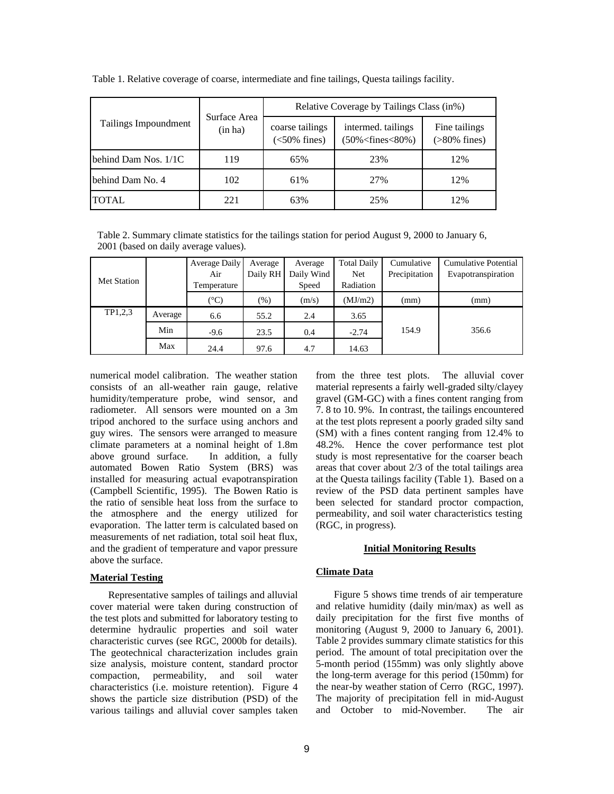|                      | Surface Area<br>(in ha) | Relative Coverage by Tailings Class (in%) |                                                      |                                  |  |
|----------------------|-------------------------|-------------------------------------------|------------------------------------------------------|----------------------------------|--|
| Tailings Impoundment |                         | coarse tailings<br>$(<50\%$ fines)        | intermed. tailings<br>$(50\% \leq$ fines $\leq$ 80%) | Fine tailings<br>$($ >80% fines) |  |
| behind Dam Nos. 1/1C | 119                     | 65%                                       | 23%                                                  | 12%                              |  |
| behind Dam No. 4     | 102                     | 61%                                       | 27%                                                  | 12%                              |  |
| <b>TOTAL</b>         | 221                     | 63%                                       | 25%                                                  | 12%                              |  |

Table 1. Relative coverage of coarse, intermediate and fine tailings, Questa tailings facility.

Table 2. Summary climate statistics for the tailings station for period August 9, 2000 to January 6, 2001 (based on daily average values).

|                    |         | Average Daily | Average  | Average    | <b>Total Daily</b> | Cumulative    | <b>Cumulative Potential</b> |
|--------------------|---------|---------------|----------|------------|--------------------|---------------|-----------------------------|
| <b>Met Station</b> |         | Air           | Daily RH | Daily Wind | Net                | Precipitation | Evapotranspiration          |
|                    |         | Temperature   |          | Speed      | Radiation          |               |                             |
|                    |         | (°C)          | $(\%)$   | (m/s)      | (MJ/m2)            | (mm)          | (mm)                        |
| TP1,2,3            | Average | 6.6           | 55.2     | 2.4        | 3.65               |               |                             |
|                    | Min     | $-9.6$        | 23.5     | 0.4        | $-2.74$            | 154.9         | 356.6                       |
|                    | Max     | 24.4          | 97.6     | 4.7        | 14.63              |               |                             |

numerical model calibration. The weather station consists of an all-weather rain gauge, relative humidity/temperature probe, wind sensor, and radiometer. All sensors were mounted on a 3m tripod anchored to the surface using anchors and guy wires. The sensors were arranged to measure climate parameters at a nominal height of 1.8m above ground surface. In addition, a fully automated Bowen Ratio System (BRS) was installed for measuring actual evapotranspiration (Campbell Scientific, 1995). The Bowen Ratio is the ratio of sensible heat loss from the surface to the atmosphere and the energy utilized for evaporation. The latter term is calculated based on measurements of net radiation, total soil heat flux, and the gradient of temperature and vapor pressure above the surface.

# **Material Testing**

Representative samples of tailings and alluvial cover material were taken during construction of the test plots and submitted for laboratory testing to determine hydraulic properties and soil water characteristic curves (see RGC, 2000b for details). The geotechnical characterization includes grain size analysis, moisture content, standard proctor compaction, permeability, and soil water characteristics (i.e. moisture retention). Figure 4 shows the particle size distribution (PSD) of the various tailings and alluvial cover samples taken

from the three test plots. The alluvial cover material represents a fairly well-graded silty/clayey gravel (GM-GC) with a fines content ranging from 7. 8 to 10. 9%. In contrast, the tailings encountered at the test plots represent a poorly graded silty sand (SM) with a fines content ranging from 12.4% to 48.2%. Hence the cover performance test plot study is most representative for the coarser beach areas that cover about 2/3 of the total tailings area at the Questa tailings facility (Table 1). Based on a review of the PSD data pertinent samples have been selected for standard proctor compaction, permeability, and soil water characteristics testing (RGC, in progress).

# **Initial Monitoring Results**

### **Climate Data**

Figure 5 shows time trends of air temperature and relative humidity (daily min/max) as well as daily precipitation for the first five months of monitoring (August 9, 2000 to January 6, 2001). Table 2 provides summary climate statistics for this period. The amount of total precipitation over the 5-month period (155mm) was only slightly above the long-term average for this period (150mm) for the near-by weather station of Cerro (RGC, 1997). The majority of precipitation fell in mid-August and October to mid-November. The air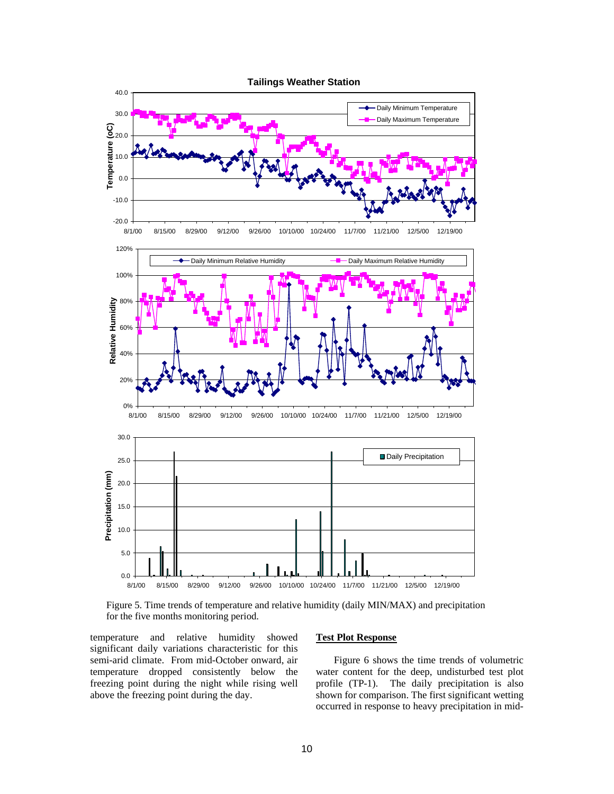

Figure 5. Time trends of temperature and relative humidity (daily MIN/MAX) and precipitation for the five months monitoring period.

temperature and relative humidity showed significant daily variations characteristic for this semi-arid climate. From mid-October onward, air temperature dropped consistently below the freezing point during the night while rising well above the freezing point during the day.

#### **Test Plot Response**

Figure 6 shows the time trends of volumetric water content for the deep, undisturbed test plot profile (TP-1). The daily precipitation is also shown for comparison. The first significant wetting occurred in response to heavy precipitation in mid-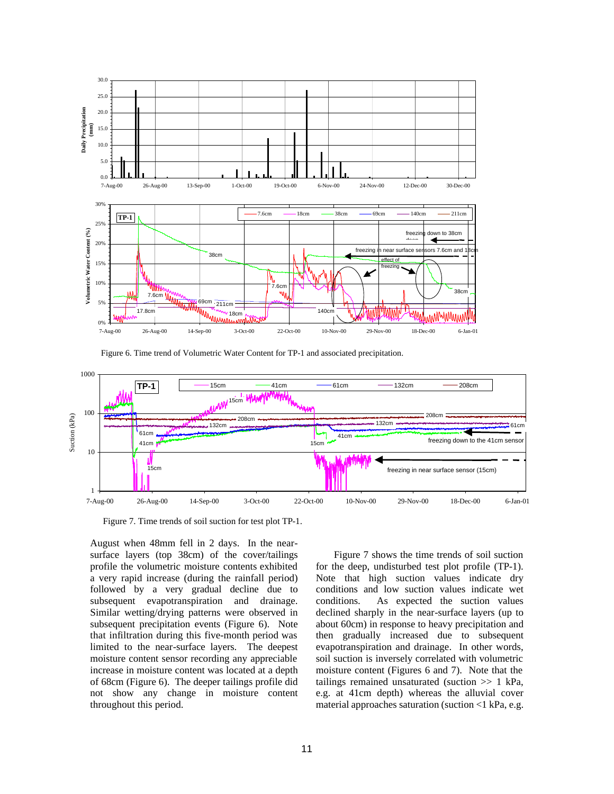

Figure 6. Time trend of Volumetric Water Content for TP-1 and associated precipitation.



Figure 7. Time trends of soil suction for test plot TP-1.

August when 48mm fell in 2 days. In the nearsurface layers (top 38cm) of the cover/tailings profile the volumetric moisture contents exhibited a very rapid increase (during the rainfall period) followed by a very gradual decline due to subsequent evapotranspiration and drainage. Similar wetting/drying patterns were observed in subsequent precipitation events (Figure 6). Note that infiltration during this five-month period was limited to the near-surface layers. The deepest moisture content sensor recording any appreciable increase in moisture content was located at a depth of 68cm (Figure 6). The deeper tailings profile did not show any change in moisture content throughout this period.

Figure 7 shows the time trends of soil suction for the deep, undisturbed test plot profile (TP-1). Note that high suction values indicate dry conditions and low suction values indicate wet conditions. As expected the suction values declined sharply in the near-surface layers (up to about 60cm) in response to heavy precipitation and then gradually increased due to subsequent evapotranspiration and drainage. In other words, soil suction is inversely correlated with volumetric moisture content (Figures 6 and 7). Note that the tailings remained unsaturated (suction >> 1 kPa, e.g. at 41cm depth) whereas the alluvial cover material approaches saturation (suction <1 kPa, e.g.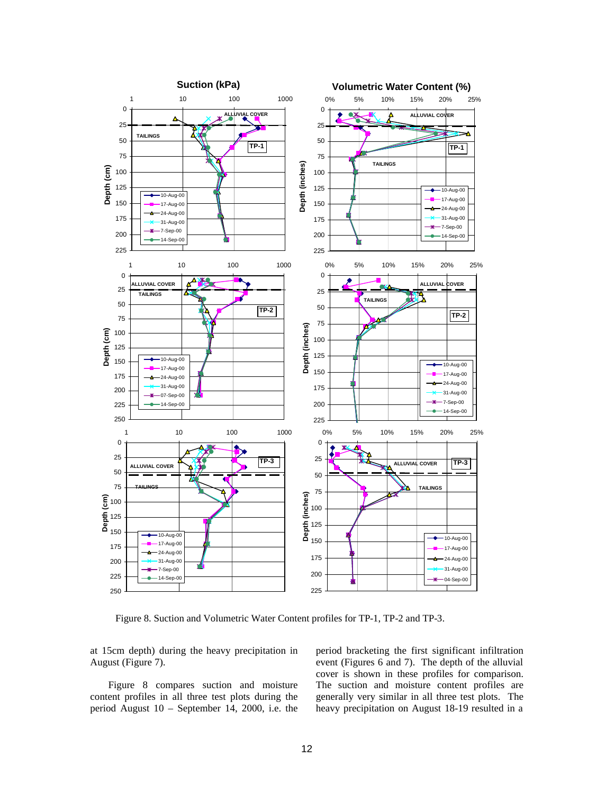

Figure 8. Suction and Volumetric Water Content profiles for TP-1, TP-2 and TP-3.

at 15cm depth) during the heavy precipitation in August (Figure 7).

Figure 8 compares suction and moisture content profiles in all three test plots during the period August 10 – September 14, 2000, i.e. the period bracketing the first significant infiltration event (Figures 6 and 7). The depth of the alluvial cover is shown in these profiles for comparison. The suction and moisture content profiles are generally very similar in all three test plots. The heavy precipitation on August 18-19 resulted in a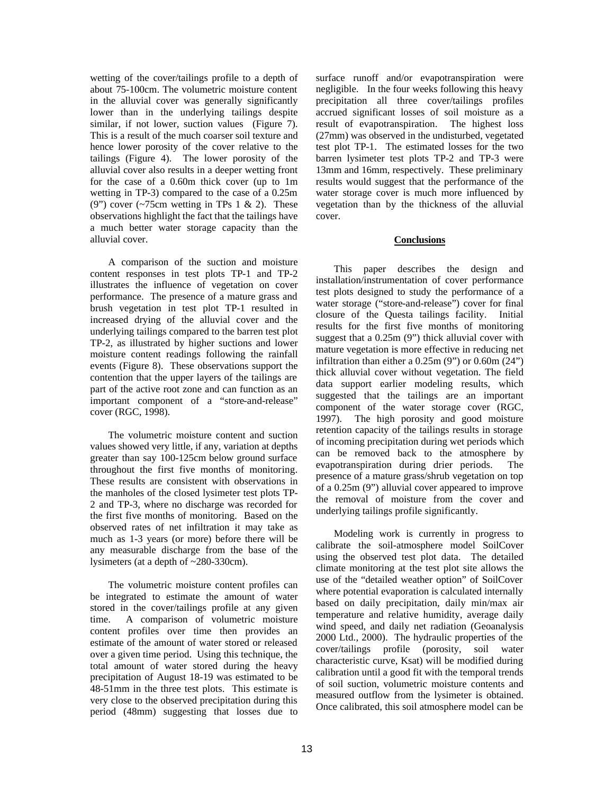wetting of the cover/tailings profile to a depth of about 75-100cm. The volumetric moisture content in the alluvial cover was generally significantly lower than in the underlying tailings despite similar, if not lower, suction values (Figure 7). This is a result of the much coarser soil texture and hence lower porosity of the cover relative to the tailings (Figure 4). The lower porosity of the alluvial cover also results in a deeper wetting front for the case of a 0.60m thick cover (up to 1m wetting in TP-3) compared to the case of a 0.25m (9") cover  $\left(\sim 75 \text{cm} \text{ wetting in TPs } 1 \& 2\right)$ . These observations highlight the fact that the tailings have a much better water storage capacity than the alluvial cover.

A comparison of the suction and moisture content responses in test plots TP-1 and TP-2 illustrates the influence of vegetation on cover performance. The presence of a mature grass and brush vegetation in test plot TP-1 resulted in increased drying of the alluvial cover and the underlying tailings compared to the barren test plot TP-2, as illustrated by higher suctions and lower moisture content readings following the rainfall events (Figure 8). These observations support the contention that the upper layers of the tailings are part of the active root zone and can function as an important component of a "store-and-release" cover (RGC, 1998).

The volumetric moisture content and suction values showed very little, if any, variation at depths greater than say 100-125cm below ground surface throughout the first five months of monitoring. These results are consistent with observations in the manholes of the closed lysimeter test plots TP-2 and TP-3, where no discharge was recorded for the first five months of monitoring. Based on the observed rates of net infiltration it may take as much as 1-3 years (or more) before there will be any measurable discharge from the base of the lysimeters (at a depth of ~280-330cm).

The volumetric moisture content profiles can be integrated to estimate the amount of water stored in the cover/tailings profile at any given time. A comparison of volumetric moisture content profiles over time then provides an estimate of the amount of water stored or released over a given time period. Using this technique, the total amount of water stored during the heavy precipitation of August 18-19 was estimated to be 48-51mm in the three test plots. This estimate is very close to the observed precipitation during this period (48mm) suggesting that losses due to

surface runoff and/or evapotranspiration were negligible. In the four weeks following this heavy precipitation all three cover/tailings profiles accrued significant losses of soil moisture as a result of evapotranspiration. The highest loss (27mm) was observed in the undisturbed, vegetated test plot TP-1. The estimated losses for the two barren lysimeter test plots TP-2 and TP-3 were 13mm and 16mm, respectively. These preliminary results would suggest that the performance of the water storage cover is much more influenced by vegetation than by the thickness of the alluvial cover.

# **Conclusions**

This paper describes the design and installation/instrumentation of cover performance test plots designed to study the performance of a water storage ("store-and-release") cover for final closure of the Questa tailings facility. Initial results for the first five months of monitoring suggest that a 0.25m (9") thick alluvial cover with mature vegetation is more effective in reducing net infiltration than either a 0.25m (9") or 0.60m (24") thick alluvial cover without vegetation. The field data support earlier modeling results, which suggested that the tailings are an important component of the water storage cover (RGC, 1997). The high porosity and good moisture retention capacity of the tailings results in storage of incoming precipitation during wet periods which can be removed back to the atmosphere by evapotranspiration during drier periods. The presence of a mature grass/shrub vegetation on top of a 0.25m (9") alluvial cover appeared to improve the removal of moisture from the cover and underlying tailings profile significantly.

Modeling work is currently in progress to calibrate the soil-atmosphere model SoilCover using the observed test plot data. The detailed climate monitoring at the test plot site allows the use of the "detailed weather option" of SoilCover where potential evaporation is calculated internally based on daily precipitation, daily min/max air temperature and relative humidity, average daily wind speed, and daily net radiation (Geoanalysis 2000 Ltd., 2000). The hydraulic properties of the cover/tailings profile (porosity, soil water characteristic curve, Ksat) will be modified during calibration until a good fit with the temporal trends of soil suction, volumetric moisture contents and measured outflow from the lysimeter is obtained. Once calibrated, this soil atmosphere model can be